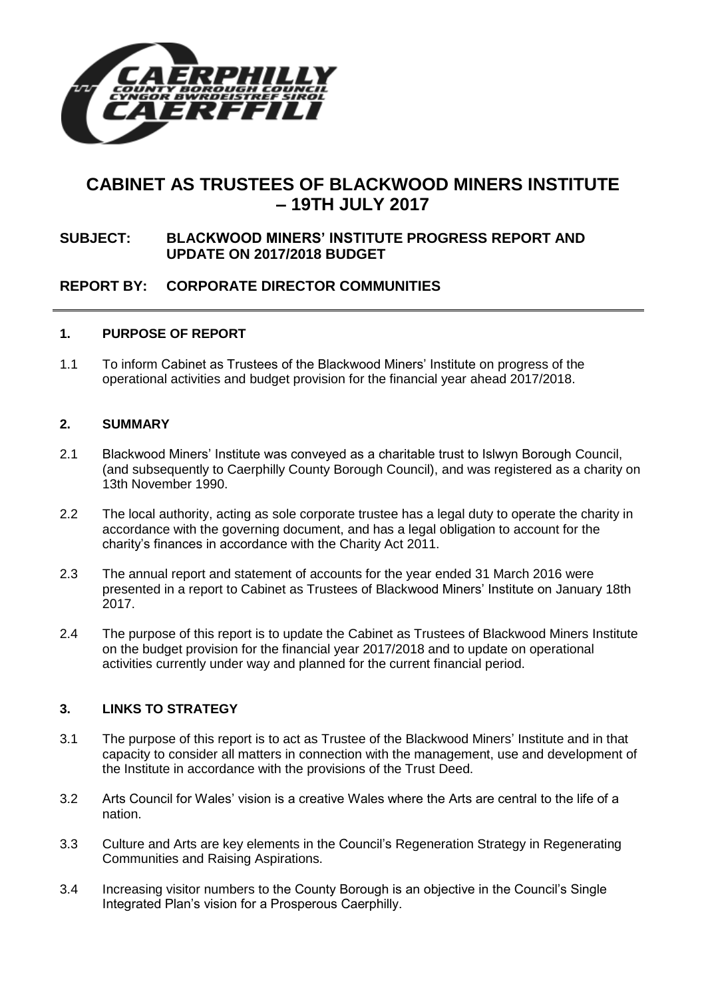

# **CABINET AS TRUSTEES OF BLACKWOOD MINERS INSTITUTE – 19TH JULY 2017**

# **SUBJECT: BLACKWOOD MINERS' INSTITUTE PROGRESS REPORT AND UPDATE ON 2017/2018 BUDGET**

# **REPORT BY: CORPORATE DIRECTOR COMMUNITIES**

#### **1. PURPOSE OF REPORT**

1.1 To inform Cabinet as Trustees of the Blackwood Miners' Institute on progress of the operational activities and budget provision for the financial year ahead 2017/2018.

#### **2. SUMMARY**

- 2.1 Blackwood Miners' Institute was conveyed as a charitable trust to Islwyn Borough Council, (and subsequently to Caerphilly County Borough Council), and was registered as a charity on 13th November 1990.
- 2.2 The local authority, acting as sole corporate trustee has a legal duty to operate the charity in accordance with the governing document, and has a legal obligation to account for the charity's finances in accordance with the Charity Act 2011.
- 2.3 The annual report and statement of accounts for the year ended 31 March 2016 were presented in a report to Cabinet as Trustees of Blackwood Miners' Institute on January 18th 2017.
- 2.4 The purpose of this report is to update the Cabinet as Trustees of Blackwood Miners Institute on the budget provision for the financial year 2017/2018 and to update on operational activities currently under way and planned for the current financial period.

#### **3. LINKS TO STRATEGY**

- 3.1 The purpose of this report is to act as Trustee of the Blackwood Miners' Institute and in that capacity to consider all matters in connection with the management, use and development of the Institute in accordance with the provisions of the Trust Deed.
- 3.2 Arts Council for Wales' vision is a creative Wales where the Arts are central to the life of a nation.
- 3.3 Culture and Arts are key elements in the Council's Regeneration Strategy in Regenerating Communities and Raising Aspirations.
- 3.4 Increasing visitor numbers to the County Borough is an objective in the Council's Single Integrated Plan's vision for a Prosperous Caerphilly.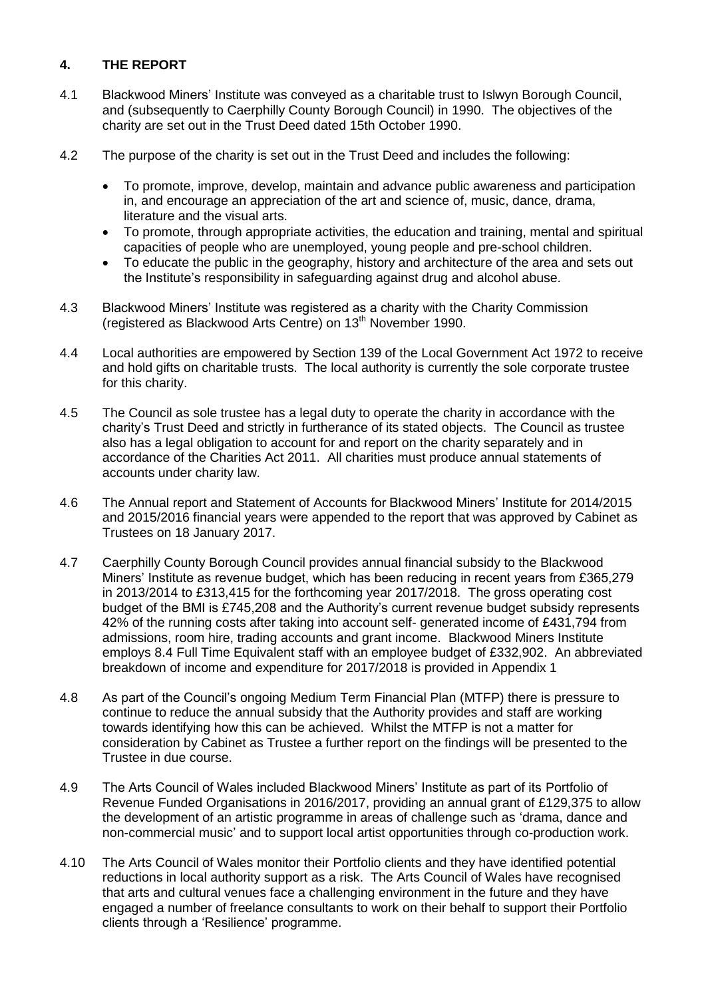# **4. THE REPORT**

- 4.1 Blackwood Miners' Institute was conveyed as a charitable trust to Islwyn Borough Council, and (subsequently to Caerphilly County Borough Council) in 1990. The objectives of the charity are set out in the Trust Deed dated 15th October 1990.
- 4.2 The purpose of the charity is set out in the Trust Deed and includes the following:
	- To promote, improve, develop, maintain and advance public awareness and participation in, and encourage an appreciation of the art and science of, music, dance, drama, literature and the visual arts.
	- To promote, through appropriate activities, the education and training, mental and spiritual capacities of people who are unemployed, young people and pre-school children.
	- To educate the public in the geography, history and architecture of the area and sets out the Institute's responsibility in safeguarding against drug and alcohol abuse.
- 4.3 Blackwood Miners' Institute was registered as a charity with the Charity Commission (registered as Blackwood Arts Centre) on 13<sup>th</sup> November 1990.
- 4.4 Local authorities are empowered by Section 139 of the Local Government Act 1972 to receive and hold gifts on charitable trusts. The local authority is currently the sole corporate trustee for this charity.
- 4.5 The Council as sole trustee has a legal duty to operate the charity in accordance with the charity's Trust Deed and strictly in furtherance of its stated objects. The Council as trustee also has a legal obligation to account for and report on the charity separately and in accordance of the Charities Act 2011. All charities must produce annual statements of accounts under charity law.
- 4.6 The Annual report and Statement of Accounts for Blackwood Miners' Institute for 2014/2015 and 2015/2016 financial years were appended to the report that was approved by Cabinet as Trustees on 18 January 2017.
- 4.7 Caerphilly County Borough Council provides annual financial subsidy to the Blackwood Miners' Institute as revenue budget, which has been reducing in recent years from £365,279 in 2013/2014 to £313,415 for the forthcoming year 2017/2018. The gross operating cost budget of the BMI is £745,208 and the Authority's current revenue budget subsidy represents 42% of the running costs after taking into account self- generated income of £431,794 from admissions, room hire, trading accounts and grant income. Blackwood Miners Institute employs 8.4 Full Time Equivalent staff with an employee budget of £332,902. An abbreviated breakdown of income and expenditure for 2017/2018 is provided in Appendix 1
- 4.8 As part of the Council's ongoing Medium Term Financial Plan (MTFP) there is pressure to continue to reduce the annual subsidy that the Authority provides and staff are working towards identifying how this can be achieved. Whilst the MTFP is not a matter for consideration by Cabinet as Trustee a further report on the findings will be presented to the Trustee in due course.
- 4.9 The Arts Council of Wales included Blackwood Miners' Institute as part of its Portfolio of Revenue Funded Organisations in 2016/2017, providing an annual grant of £129,375 to allow the development of an artistic programme in areas of challenge such as 'drama, dance and non-commercial music' and to support local artist opportunities through co-production work.
- 4.10 The Arts Council of Wales monitor their Portfolio clients and they have identified potential reductions in local authority support as a risk. The Arts Council of Wales have recognised that arts and cultural venues face a challenging environment in the future and they have engaged a number of freelance consultants to work on their behalf to support their Portfolio clients through a 'Resilience' programme.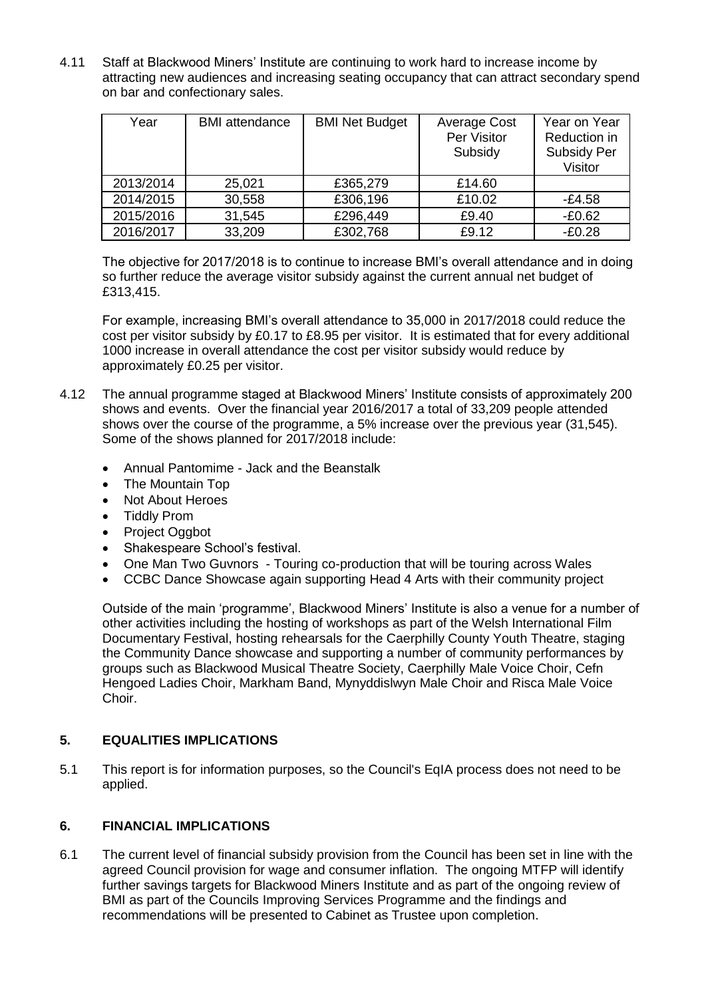4.11 Staff at Blackwood Miners' Institute are continuing to work hard to increase income by attracting new audiences and increasing seating occupancy that can attract secondary spend on bar and confectionary sales.

| Year      | <b>BMI</b> attendance | <b>BMI Net Budget</b> | Average Cost<br>Per Visitor<br>Subsidy | Year on Year<br>Reduction in<br>Subsidy Per<br>Visitor |
|-----------|-----------------------|-----------------------|----------------------------------------|--------------------------------------------------------|
| 2013/2014 | 25,021                | £365,279              | £14.60                                 |                                                        |
| 2014/2015 | 30,558                | £306,196              | £10.02                                 | -£4.58                                                 |
| 2015/2016 | 31,545                | £296,449              | £9.40                                  | $-£0.62$                                               |
| 2016/2017 | 33,209                | £302,768              | £9.12                                  | $-£0.28$                                               |

The objective for 2017/2018 is to continue to increase BMI's overall attendance and in doing so further reduce the average visitor subsidy against the current annual net budget of £313,415.

For example, increasing BMI's overall attendance to 35,000 in 2017/2018 could reduce the cost per visitor subsidy by £0.17 to £8.95 per visitor. It is estimated that for every additional 1000 increase in overall attendance the cost per visitor subsidy would reduce by approximately £0.25 per visitor.

- 4.12 The annual programme staged at Blackwood Miners' Institute consists of approximately 200 shows and events. Over the financial year 2016/2017 a total of 33,209 people attended shows over the course of the programme, a 5% increase over the previous year (31,545). Some of the shows planned for 2017/2018 include:
	- Annual Pantomime Jack and the Beanstalk
	- The Mountain Top
	- Not About Heroes
	- Tiddly Prom
	- Project Oggbot
	- Shakespeare School's festival.
	- One Man Two Guvnors Touring co-production that will be touring across Wales
	- CCBC Dance Showcase again supporting Head 4 Arts with their community project

Outside of the main 'programme', Blackwood Miners' Institute is also a venue for a number of other activities including the hosting of workshops as part of the Welsh International Film Documentary Festival, hosting rehearsals for the Caerphilly County Youth Theatre, staging the Community Dance showcase and supporting a number of community performances by groups such as Blackwood Musical Theatre Society, Caerphilly Male Voice Choir, Cefn Hengoed Ladies Choir, Markham Band, Mynyddislwyn Male Choir and Risca Male Voice Choir.

#### **5. EQUALITIES IMPLICATIONS**

5.1 This report is for information purposes, so the Council's EqIA process does not need to be applied.

#### **6. FINANCIAL IMPLICATIONS**

6.1 The current level of financial subsidy provision from the Council has been set in line with the agreed Council provision for wage and consumer inflation. The ongoing MTFP will identify further savings targets for Blackwood Miners Institute and as part of the ongoing review of BMI as part of the Councils Improving Services Programme and the findings and recommendations will be presented to Cabinet as Trustee upon completion.